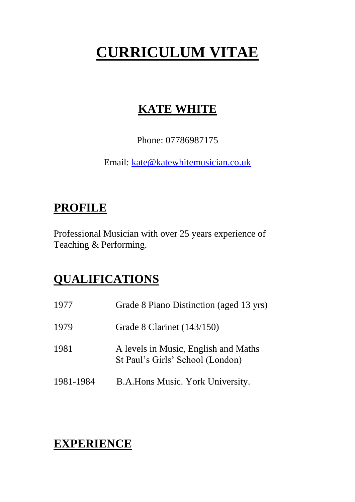# **CURRICULUM VITAE**

# **KATE WHITE**

Phone: 07786987175

Email: [kate@katewhitemusician.co.uk](mailto:kate@katewhitemusician.co.uk)

# **PROFILE**

Professional Musician with over 25 years experience of Teaching & Performing.

# **QUALIFICATIONS**

| 1977      | Grade 8 Piano Distinction (aged 13 yrs)                                  |
|-----------|--------------------------------------------------------------------------|
| 1979      | Grade 8 Clarinet $(143/150)$                                             |
| 1981      | A levels in Music, English and Maths<br>St Paul's Girls' School (London) |
| 1981-1984 | B.A. Hons Music. York University.                                        |

# **EXPERIENCE**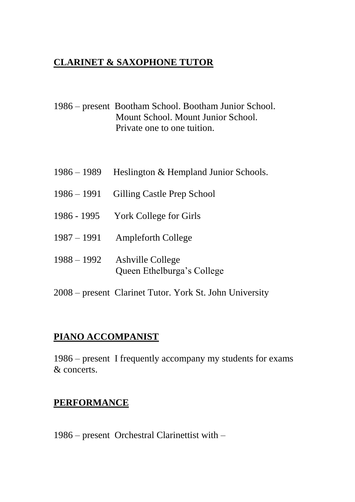#### **CLARINET & SAXOPHONE TUTOR**

1986 – present Bootham School. Bootham Junior School. Mount School. Mount Junior School. Private one to one tuition.

- 1986 1989 Heslington & Hempland Junior Schools.
- 1986 1991 Gilling Castle Prep School
- 1986 1995 York College for Girls
- 1987 1991 Ampleforth College
- 1988 1992 Ashville College Queen Ethelburga's College
- 2008 present Clarinet Tutor. York St. John University

#### **PIANO ACCOMPANIST**

1986 – present I frequently accompany my students for exams & concerts.

#### **PERFORMANCE**

1986 – present Orchestral Clarinettist with –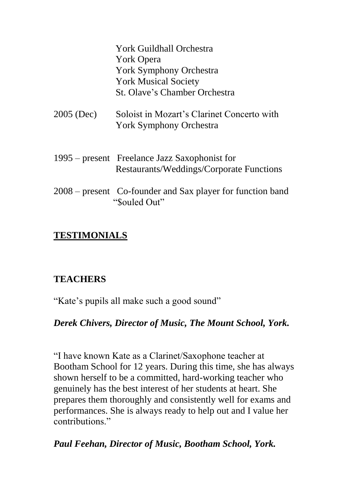York Guildhall Orchestra York Opera York Symphony Orchestra York Musical Society St. Olave's Chamber Orchestra

- 2005 (Dec) Soloist in Mozart's Clarinet Concerto with York Symphony Orchestra
- 1995 present Freelance Jazz Saxophonist for Restaurants/Weddings/Corporate Functions
- 2008 present Co-founder and Sax player for function band "\$ouled Out"

### **TESTIMONIALS**

# **TEACHERS**

"Kate's pupils all make such a good sound"

### *Derek Chivers, Director of Music, The Mount School, York.*

"I have known Kate as a Clarinet/Saxophone teacher at Bootham School for 12 years. During this time, she has always shown herself to be a committed, hard-working teacher who genuinely has the best interest of her students at heart. She prepares them thoroughly and consistently well for exams and performances. She is always ready to help out and I value her contributions."

### *Paul Feehan, Director of Music, Bootham School, York.*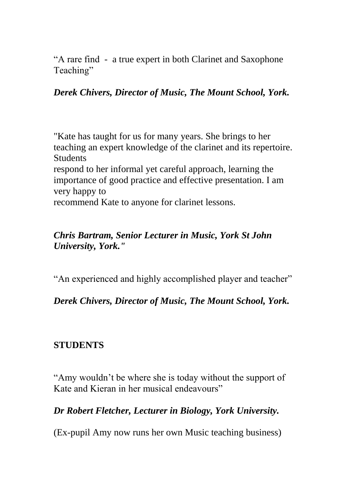"A rare find - a true expert in both Clarinet and Saxophone Teaching"

#### *Derek Chivers, Director of Music, The Mount School, York.*

"Kate has taught for us for many years. She brings to her teaching an expert knowledge of the clarinet and its repertoire. Students respond to her informal yet careful approach, learning the importance of good practice and effective presentation. I am very happy to

recommend Kate to anyone for clarinet lessons.

#### *Chris Bartram, Senior Lecturer in Music, York St John University, York."*

"An experienced and highly accomplished player and teacher"

*Derek Chivers, Director of Music, The Mount School, York.*

#### **STUDENTS**

"Amy wouldn't be where she is today without the support of Kate and Kieran in her musical endeavours"

*Dr Robert Fletcher, Lecturer in Biology, York University.*

(Ex-pupil Amy now runs her own Music teaching business)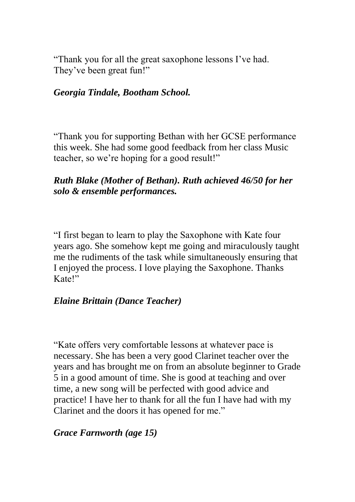"Thank you for all the great saxophone lessons I've had. They've been great fun!"

#### *Georgia Tindale, Bootham School.*

"Thank you for supporting Bethan with her GCSE performance this week. She had some good feedback from her class Music teacher, so we're hoping for a good result!"

#### *Ruth Blake (Mother of Bethan). Ruth achieved 46/50 for her solo & ensemble performances.*

"I first began to learn to play the Saxophone with Kate four years ago. She somehow kept me going and miraculously taught me the rudiments of the task while simultaneously ensuring that I enjoyed the process. I love playing the Saxophone. Thanks Kate!"

#### *Elaine Brittain (Dance Teacher)*

"Kate offers very comfortable lessons at whatever pace is necessary. She has been a very good Clarinet teacher over the years and has brought me on from an absolute beginner to Grade 5 in a good amount of time. She is good at teaching and over time, a new song will be perfected with good advice and practice! I have her to thank for all the fun I have had with my Clarinet and the doors it has opened for me."

#### *Grace Farnworth (age 15)*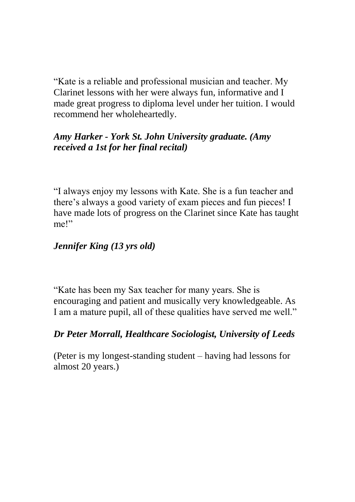"Kate is a reliable and professional musician and teacher. My Clarinet lessons with her were always fun, informative and I made great progress to diploma level under her tuition. I would recommend her wholeheartedly.

#### *Amy Harker - York St. John University graduate. (Amy received a 1st for her final recital)*

"I always enjoy my lessons with Kate. She is a fun teacher and there's always a good variety of exam pieces and fun pieces! I have made lots of progress on the Clarinet since Kate has taught me!"

### *Jennifer King (13 yrs old)*

"Kate has been my Sax teacher for many years. She is encouraging and patient and musically very knowledgeable. As I am a mature pupil, all of these qualities have served me well."

### *Dr Peter Morrall, Healthcare Sociologist, University of Leeds*

(Peter is my longest-standing student – having had lessons for almost 20 years.)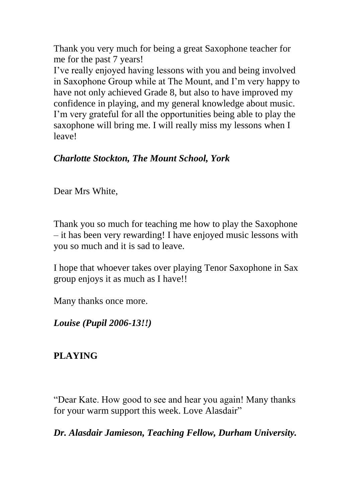Thank you very much for being a great Saxophone teacher for me for the past 7 years!

I've really enjoyed having lessons with you and being involved in Saxophone Group while at The Mount, and I'm very happy to have not only achieved Grade 8, but also to have improved my confidence in playing, and my general knowledge about music. I'm very grateful for all the opportunities being able to play the saxophone will bring me. I will really miss my lessons when I leave!

### *Charlotte Stockton, The Mount School, York*

Dear Mrs White,

Thank you so much for teaching me how to play the Saxophone – it has been very rewarding! I have enjoyed music lessons with you so much and it is sad to leave.

I hope that whoever takes over playing Tenor Saxophone in Sax group enjoys it as much as I have!!

Many thanks once more.

*Louise (Pupil 2006-13!!)*

# **PLAYING**

"Dear Kate. How good to see and hear you again! Many thanks for your warm support this week. Love Alasdair"

*Dr. Alasdair Jamieson, Teaching Fellow, Durham University.*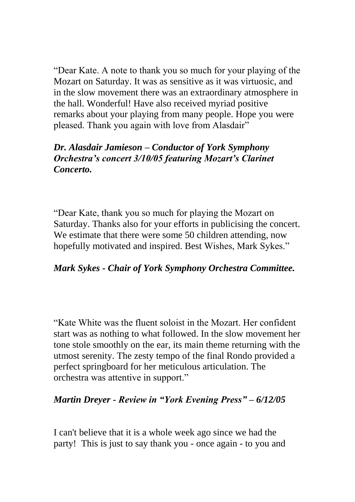"Dear Kate. A note to thank you so much for your playing of the Mozart on Saturday. It was as sensitive as it was virtuosic, and in the slow movement there was an extraordinary atmosphere in the hall. Wonderful! Have also received myriad positive remarks about your playing from many people. Hope you were pleased. Thank you again with love from Alasdair"

#### *Dr. Alasdair Jamieson – Conductor of York Symphony Orchestra's concert 3/10/05 featuring Mozart's Clarinet Concerto.*

"Dear Kate, thank you so much for playing the Mozart on Saturday. Thanks also for your efforts in publicising the concert. We estimate that there were some 50 children attending, now hopefully motivated and inspired. Best Wishes, Mark Sykes."

#### *Mark Sykes - Chair of York Symphony Orchestra Committee.*

"Kate White was the fluent soloist in the Mozart. Her confident start was as nothing to what followed. In the slow movement her tone stole smoothly on the ear, its main theme returning with the utmost serenity. The zesty tempo of the final Rondo provided a perfect springboard for her meticulous articulation. The orchestra was attentive in support."

#### *Martin Dreyer - Review in "York Evening Press" – 6/12/05*

I can't believe that it is a whole week ago since we had the party! This is just to say thank you - once again - to you and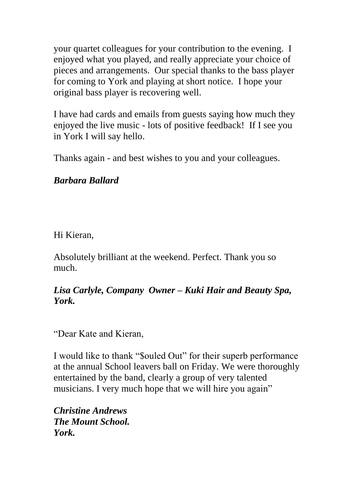your quartet colleagues for your contribution to the evening. I enjoyed what you played, and really appreciate your choice of pieces and arrangements. Our special thanks to the bass player for coming to York and playing at short notice. I hope your original bass player is recovering well.

I have had cards and emails from guests saying how much they enjoyed the live music - lots of positive feedback! If I see you in York I will say hello.

Thanks again - and best wishes to you and your colleagues.

#### *Barbara Ballard*

Hi Kieran,

Absolutely brilliant at the weekend. Perfect. Thank you so much.

#### *Lisa Carlyle, Company Owner – Kuki Hair and Beauty Spa, York.*

"Dear Kate and Kieran,

I would like to thank "\$ouled Out" for their superb performance at the annual School leavers ball on Friday. We were thoroughly entertained by the band, clearly a group of very talented musicians. I very much hope that we will hire you again"

*Christine Andrews The Mount School. York.*